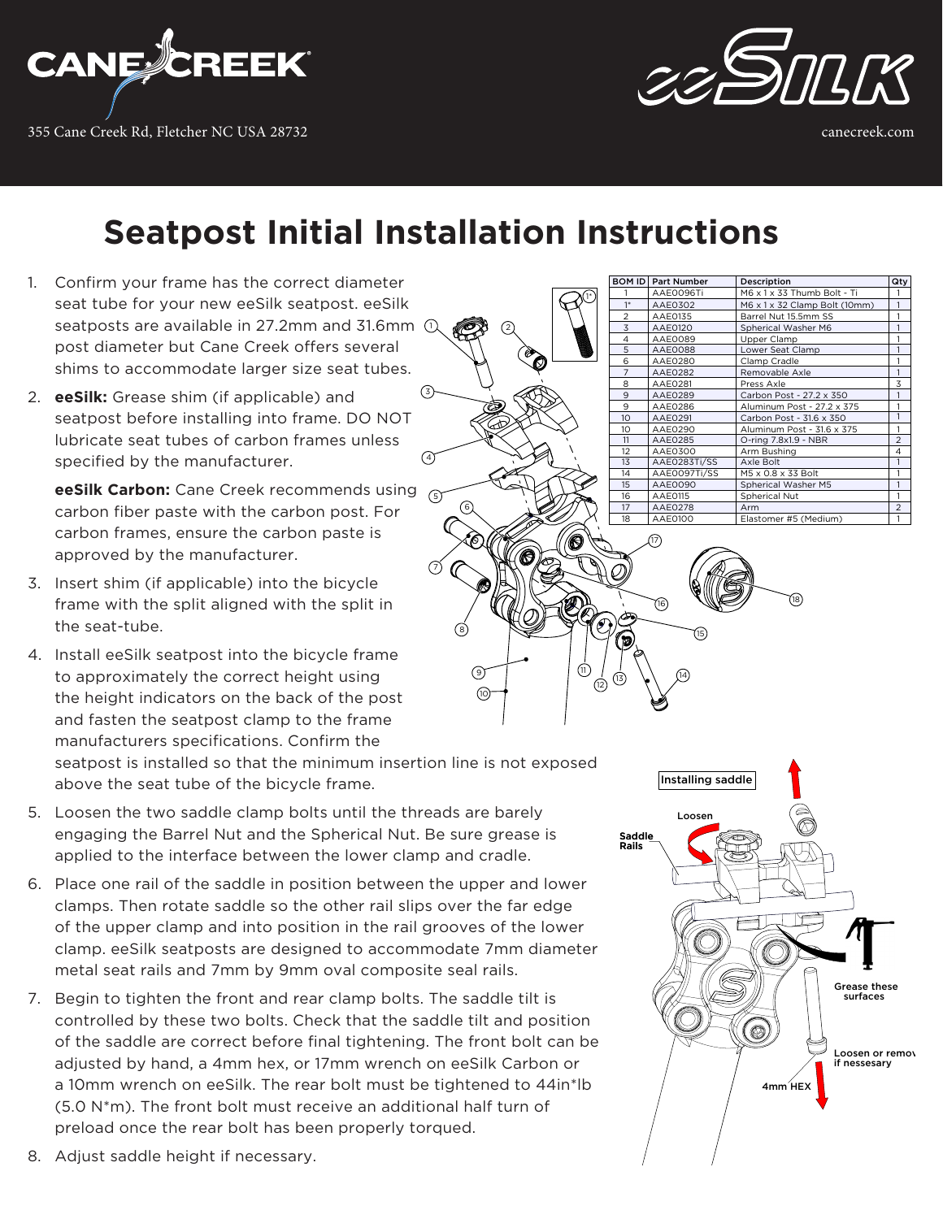



### **Seatpost Initial Installation Instructions**

 $\odot$ 

 $\overline{4}$ 

 $(3)$ 

6

2

1\*

- 1. Confirm your frame has the correct diameter seat tube for your new eeSilk seatpost. eeSilk seatposts are available in 27.2mm and 31.6mm 1 post diameter but Cane Creek offers several shims to accommodate larger size seat tubes.
- 2. **eeSilk:** Grease shim (if applicable) and seatpost before installing into frame. DO NOT lubricate seat tubes of carbon frames unless specified by the manufacturer.

**eeSilk Carbon:** Cane Creek recommends using carbon fiber paste with the carbon post. For carbon frames, ensure the carbon paste is approved by the manufacturer.

- 3. Insert shim (if applicable) into the bicycle frame with the split aligned with the split in the seat-tube.
- 4. Install eeSilk seatpost into the bicycle frame to approximately the correct height using the height indicators on the back of the post and fasten the seatpost clamp to the frame manufacturers specifications. Confirm the

seatpost is installed so that the minimum insertion line is not exposed above the seat tube of the bicycle frame.

- 5. Loosen the two saddle clamp bolts until the threads are barely engaging the Barrel Nut and the Spherical Nut. Be sure grease is applied to the interface between the lower clamp and cradle.
- 6. Place one rail of the saddle in position between the upper and lower clamps. Then rotate saddle so the other rail slips over the far edge of the upper clamp and into position in the rail grooves of the lower clamp. eeSilk seatposts are designed to accommodate 7mm diameter metal seat rails and 7mm by 9mm oval composite seal rails.
- 7. Begin to tighten the front and rear clamp bolts. The saddle tilt is controlled by these two bolts. Check that the saddle tilt and position of the saddle are correct before final tightening. The front bolt can be adjusted by hand, a 4mm hex, or 17mm wrench on eeSilk Carbon or a 10mm wrench on eeSilk. The rear bolt must be tightened to 44in\*lb (5.0 N\*m). The front bolt must receive an additional half turn of preload once the rear bolt has been properly torqued.

| 1                 | AAE0096Ti      | M6 x 1 x 33 Thumb Bolt - Ti   | 1                        |
|-------------------|----------------|-------------------------------|--------------------------|
| $1*$              | AAE0302        | M6 x 1 x 32 Clamp Bolt (10mm) |                          |
| $\overline{c}$    | AAE0135        | Barrel Nut 15.5mm SS          |                          |
| 3                 | <b>AAE0120</b> | Spherical Washer M6           |                          |
| 4                 | AAE0089        | Upper Clamp                   |                          |
| 5                 | <b>AAE0088</b> | Lower Seat Clamp              |                          |
| 6                 | AAE0280        | Clamp Cradle                  |                          |
| 7                 | <b>AAE0282</b> | Removable Axle                |                          |
| 8                 | AAE0281        | Press Axle                    | 3                        |
| 9                 | AAE0289        | Carbon Post - 27.2 x 350      | 1                        |
| 9                 | AAE0286        | Aluminum Post - 27.2 x 375    |                          |
| 10 <sup>°</sup>   | AAE0291        | Carbon Post - 31.6 x 350      |                          |
| 10                | AAE0290        | Aluminum Post - 31.6 x 375    |                          |
| 11                | AAE0285        | O-ring 7.8x1.9 - NBR          | $\overline{\mathcal{L}}$ |
| $12 \overline{ }$ | AAE0300        | Arm Bushing                   | 4                        |
| 13                | AAE0283Ti/SS   | Axle Bolt                     | 1                        |
| 14                | AAE0097Ti/SS   | M5 x 0.8 x 33 Bolt            |                          |
| 15                | AAE0090        | Spherical Washer M5           |                          |
| 16                | AAE0115        | Spherical Nut                 |                          |
| 17                | <b>AAE0278</b> | Arm                           | $\mathfrak{p}$           |
| 18                | AAE0100        | Elastomer #5 (Medium)         |                          |

ROM ID Part Number Description City





8. Adjust saddle height if necessary.